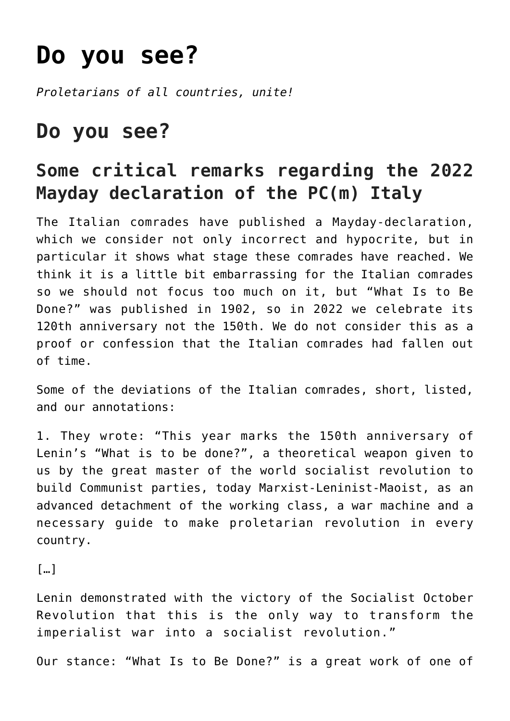## **[Do you see?](https://ci-ic.org/blog/2022/05/27/do-you-see/)**

*Proletarians of all countries, unite!*

## **Do you see?**

## **Some critical remarks regarding the 2022 Mayday declaration of the PC(m) Italy**

The Italian comrades have published a Mayday-declaration, which we consider not only incorrect and hypocrite, but in particular it shows what stage these comrades have reached. We think it is a little bit embarrassing for the Italian comrades so we should not focus too much on it, but "What Is to Be Done?" was published in 1902, so in 2022 we celebrate its 120th anniversary not the 150th. We do not consider this as a proof or confession that the Italian comrades had fallen out of time.

Some of the deviations of the Italian comrades, short, listed, and our annotations:

1. They wrote: "This year marks the 150th anniversary of Lenin's "What is to be done?", a theoretical weapon given to us by the great master of the world socialist revolution to build Communist parties, today Marxist-Leninist-Maoist, as an advanced detachment of the working class, a war machine and a necessary guide to make proletarian revolution in every country.

[…]

Lenin demonstrated with the victory of the Socialist October Revolution that this is the only way to transform the imperialist war into a socialist revolution."

Our stance: "What Is to Be Done?" is a great work of one of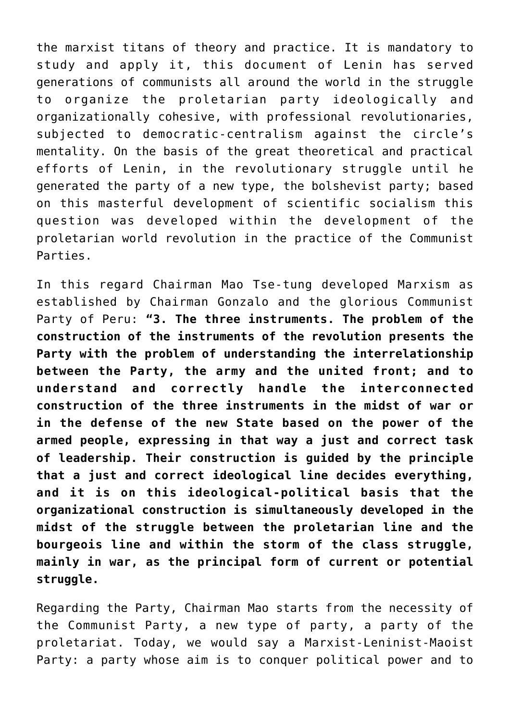the marxist titans of theory and practice. It is mandatory to study and apply it, this document of Lenin has served generations of communists all around the world in the struggle to organize the proletarian party ideologically and organizationally cohesive, with professional revolutionaries, subjected to democratic-centralism against the circle's mentality. On the basis of the great theoretical and practical efforts of Lenin, in the revolutionary struggle until he generated the party of a new type, the bolshevist party; based on this masterful development of scientific socialism this question was developed within the development of the proletarian world revolution in the practice of the Communist Parties.

In this regard Chairman Mao Tse-tung developed Marxism as established by Chairman Gonzalo and the glorious Communist Party of Peru: **"3. The three instruments. The problem of the construction of the instruments of the revolution presents the Party with the problem of understanding the interrelationship between the Party, the army and the united front; and to understand and correctly handle the interconnected construction of the three instruments in the midst of war or in the defense of the new State based on the power of the armed people, expressing in that way a just and correct task of leadership. Their construction is guided by the principle that a just and correct ideological line decides everything, and it is on this ideological-political basis that the organizational construction is simultaneously developed in the midst of the struggle between the proletarian line and the bourgeois line and within the storm of the class struggle, mainly in war, as the principal form of current or potential struggle.**

Regarding the Party, Chairman Mao starts from the necessity of the Communist Party, a new type of party, a party of the proletariat. Today, we would say a Marxist-Leninist-Maoist Party: a party whose aim is to conquer political power and to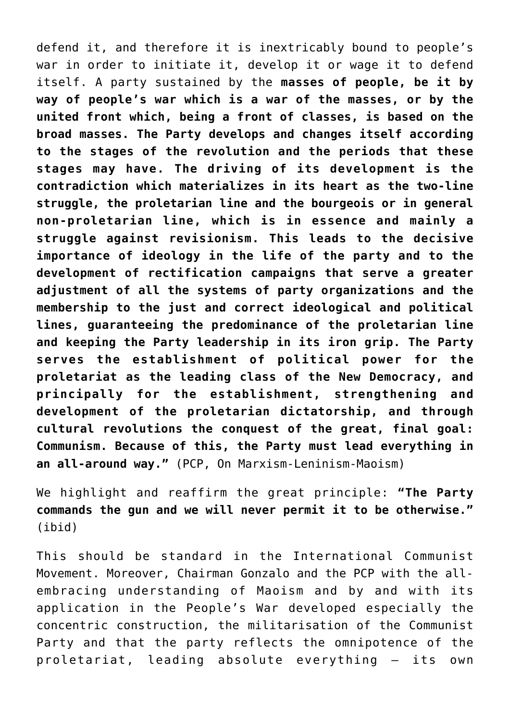defend it, and therefore it is inextricably bound to people's war in order to initiate it, develop it or wage it to defend itself. A party sustained by the **masses of people, be it by way of people's war which is a war of the masses, or by the united front which, being a front of classes, is based on the broad masses. The Party develops and changes itself according to the stages of the revolution and the periods that these stages may have. The driving of its development is the contradiction which materializes in its heart as the two-line struggle, the proletarian line and the bourgeois or in general non-proletarian line, which is in essence and mainly a struggle against revisionism. This leads to the decisive importance of ideology in the life of the party and to the development of rectification campaigns that serve a greater adjustment of all the systems of party organizations and the membership to the just and correct ideological and political lines, guaranteeing the predominance of the proletarian line and keeping the Party leadership in its iron grip. The Party serves the establishment of political power for the proletariat as the leading class of the New Democracy, and principally for the establishment, strengthening and development of the proletarian dictatorship, and through cultural revolutions the conquest of the great, final goal: Communism. Because of this, the Party must lead everything in an all-around way."** (PCP, On Marxism-Leninism-Maoism)

We highlight and reaffirm the great principle: **"The Party commands the gun and we will never permit it to be otherwise."** (ibid)

This should be standard in the International Communist Movement. Moreover, Chairman Gonzalo and the PCP with the allembracing understanding of Maoism and by and with its application in the People's War developed especially the concentric construction, the militarisation of the Communist Party and that the party reflects the omnipotence of the proletariat, leading absolute everything – its own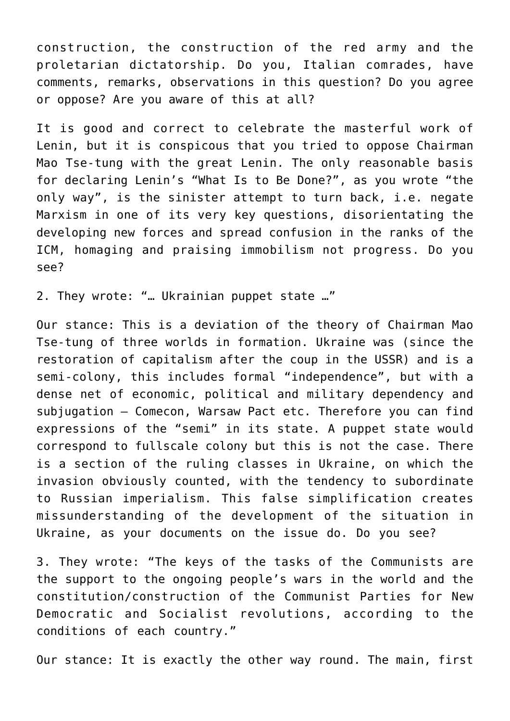construction, the construction of the red army and the proletarian dictatorship. Do you, Italian comrades, have comments, remarks, observations in this question? Do you agree or oppose? Are you aware of this at all?

It is good and correct to celebrate the masterful work of Lenin, but it is conspicous that you tried to oppose Chairman Mao Tse-tung with the great Lenin. The only reasonable basis for declaring Lenin's "What Is to Be Done?", as you wrote "the only way", is the sinister attempt to turn back, i.e. negate Marxism in one of its very key questions, disorientating the developing new forces and spread confusion in the ranks of the ICM, homaging and praising immobilism not progress. Do you see?

2. They wrote: "… Ukrainian puppet state …"

Our stance: This is a deviation of the theory of Chairman Mao Tse-tung of three worlds in formation. Ukraine was (since the restoration of capitalism after the coup in the USSR) and is a semi-colony, this includes formal "independence", but with a dense net of economic, political and military dependency and subjugation – Comecon, Warsaw Pact etc. Therefore you can find expressions of the "semi" in its state. A puppet state would correspond to fullscale colony but this is not the case. There is a section of the ruling classes in Ukraine, on which the invasion obviously counted, with the tendency to subordinate to Russian imperialism. This false simplification creates missunderstanding of the development of the situation in Ukraine, as your documents on the issue do. Do you see?

3. They wrote: "The keys of the tasks of the Communists are the support to the ongoing people's wars in the world and the constitution/construction of the Communist Parties for New Democratic and Socialist revolutions, according to the conditions of each country."

Our stance: It is exactly the other way round. The main, first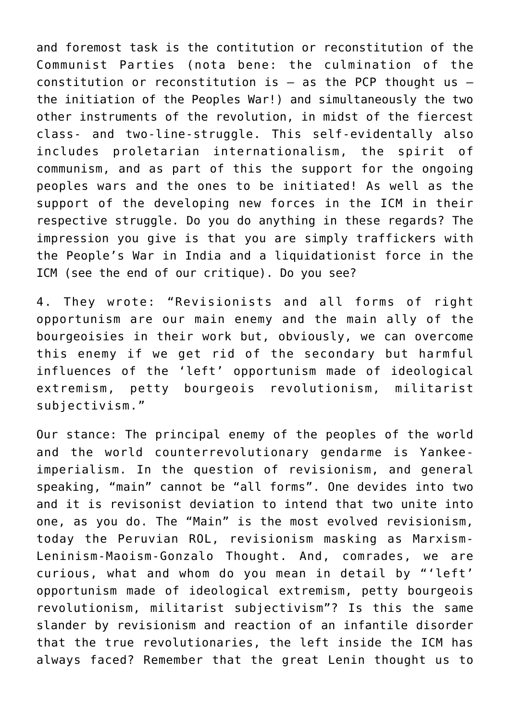and foremost task is the contitution or reconstitution of the Communist Parties (nota bene: the culmination of the constitution or reconstitution is  $-$  as the PCP thought us  $$ the initiation of the Peoples War!) and simultaneously the two other instruments of the revolution, in midst of the fiercest class- and two-line-struggle. This self-evidentally also includes proletarian internationalism, the spirit of communism, and as part of this the support for the ongoing peoples wars and the ones to be initiated! As well as the support of the developing new forces in the ICM in their respective struggle. Do you do anything in these regards? The impression you give is that you are simply traffickers with the People's War in India and a liquidationist force in the ICM (see the end of our critique). Do you see?

4. They wrote: "Revisionists and all forms of right opportunism are our main enemy and the main ally of the bourgeoisies in their work but, obviously, we can overcome this enemy if we get rid of the secondary but harmful influences of the 'left' opportunism made of ideological extremism, petty bourgeois revolutionism, militarist subjectivism."

Our stance: The principal enemy of the peoples of the world and the world counterrevolutionary gendarme is Yankeeimperialism. In the question of revisionism, and general speaking, "main" cannot be "all forms". One devides into two and it is revisonist deviation to intend that two unite into one, as you do. The "Main" is the most evolved revisionism, today the Peruvian ROL, revisionism masking as Marxism-Leninism-Maoism-Gonzalo Thought. And, comrades, we are curious, what and whom do you mean in detail by "'left' opportunism made of ideological extremism, petty bourgeois revolutionism, militarist subjectivism"? Is this the same slander by revisionism and reaction of an infantile disorder that the true revolutionaries, the left inside the ICM has always faced? Remember that the great Lenin thought us to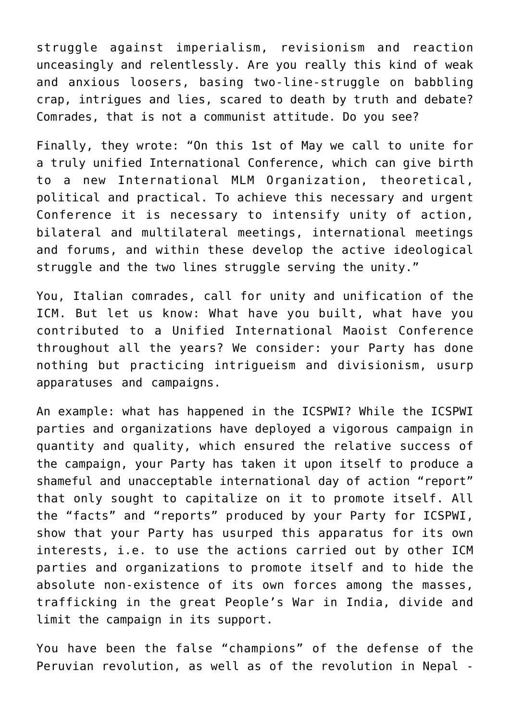struggle against imperialism, revisionism and reaction unceasingly and relentlessly. Are you really this kind of weak and anxious loosers, basing two-line-struggle on babbling crap, intrigues and lies, scared to death by truth and debate? Comrades, that is not a communist attitude. Do you see?

Finally, they wrote: "On this 1st of May we call to unite for a truly unified International Conference, which can give birth to a new International MLM Organization, theoretical, political and practical. To achieve this necessary and urgent Conference it is necessary to intensify unity of action, bilateral and multilateral meetings, international meetings and forums, and within these develop the active ideological struggle and the two lines struggle serving the unity."

You, Italian comrades, call for unity and unification of the ICM. But let us know: What have you built, what have you contributed to a Unified International Maoist Conference throughout all the years? We consider: your Party has done nothing but practicing intrigueism and divisionism, usurp apparatuses and campaigns.

An example: what has happened in the ICSPWI? While the ICSPWI parties and organizations have deployed a vigorous campaign in quantity and quality, which ensured the relative success of the campaign, your Party has taken it upon itself to produce a shameful and unacceptable international day of action "report" that only sought to capitalize on it to promote itself. All the "facts" and "reports" produced by your Party for ICSPWI, show that your Party has usurped this apparatus for its own interests, i.e. to use the actions carried out by other ICM parties and organizations to promote itself and to hide the absolute non-existence of its own forces among the masses, trafficking in the great People's War in India, divide and limit the campaign in its support.

You have been the false "champions" of the defense of the Peruvian revolution, as well as of the revolution in Nepal -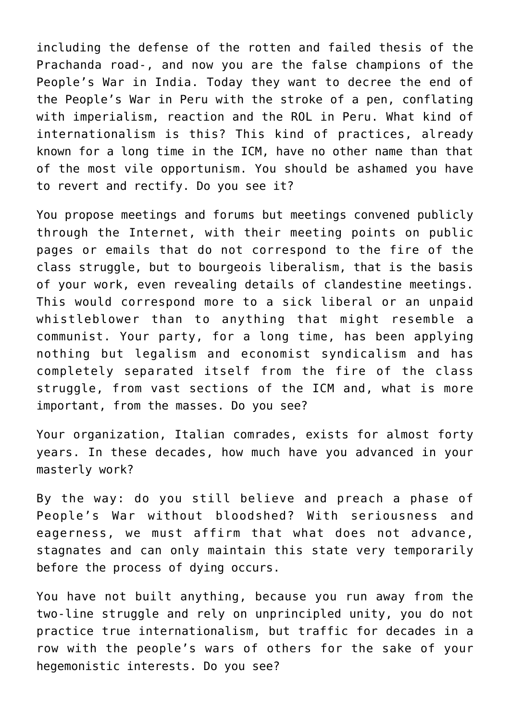including the defense of the rotten and failed thesis of the Prachanda road-, and now you are the false champions of the People's War in India. Today they want to decree the end of the People's War in Peru with the stroke of a pen, conflating with imperialism, reaction and the ROL in Peru. What kind of internationalism is this? This kind of practices, already known for a long time in the ICM, have no other name than that of the most vile opportunism. You should be ashamed you have to revert and rectify. Do you see it?

You propose meetings and forums but meetings convened publicly through the Internet, with their meeting points on public pages or emails that do not correspond to the fire of the class struggle, but to bourgeois liberalism, that is the basis of your work, even revealing details of clandestine meetings. This would correspond more to a sick liberal or an unpaid whistleblower than to anything that might resemble a communist. Your party, for a long time, has been applying nothing but legalism and economist syndicalism and has completely separated itself from the fire of the class struggle, from vast sections of the ICM and, what is more important, from the masses. Do you see?

Your organization, Italian comrades, exists for almost forty years. In these decades, how much have you advanced in your masterly work?

By the way: do you still believe and preach a phase of People's War without bloodshed? With seriousness and eagerness, we must affirm that what does not advance, stagnates and can only maintain this state very temporarily before the process of dying occurs.

You have not built anything, because you run away from the two-line struggle and rely on unprincipled unity, you do not practice true internationalism, but traffic for decades in a row with the people's wars of others for the sake of your hegemonistic interests. Do you see?